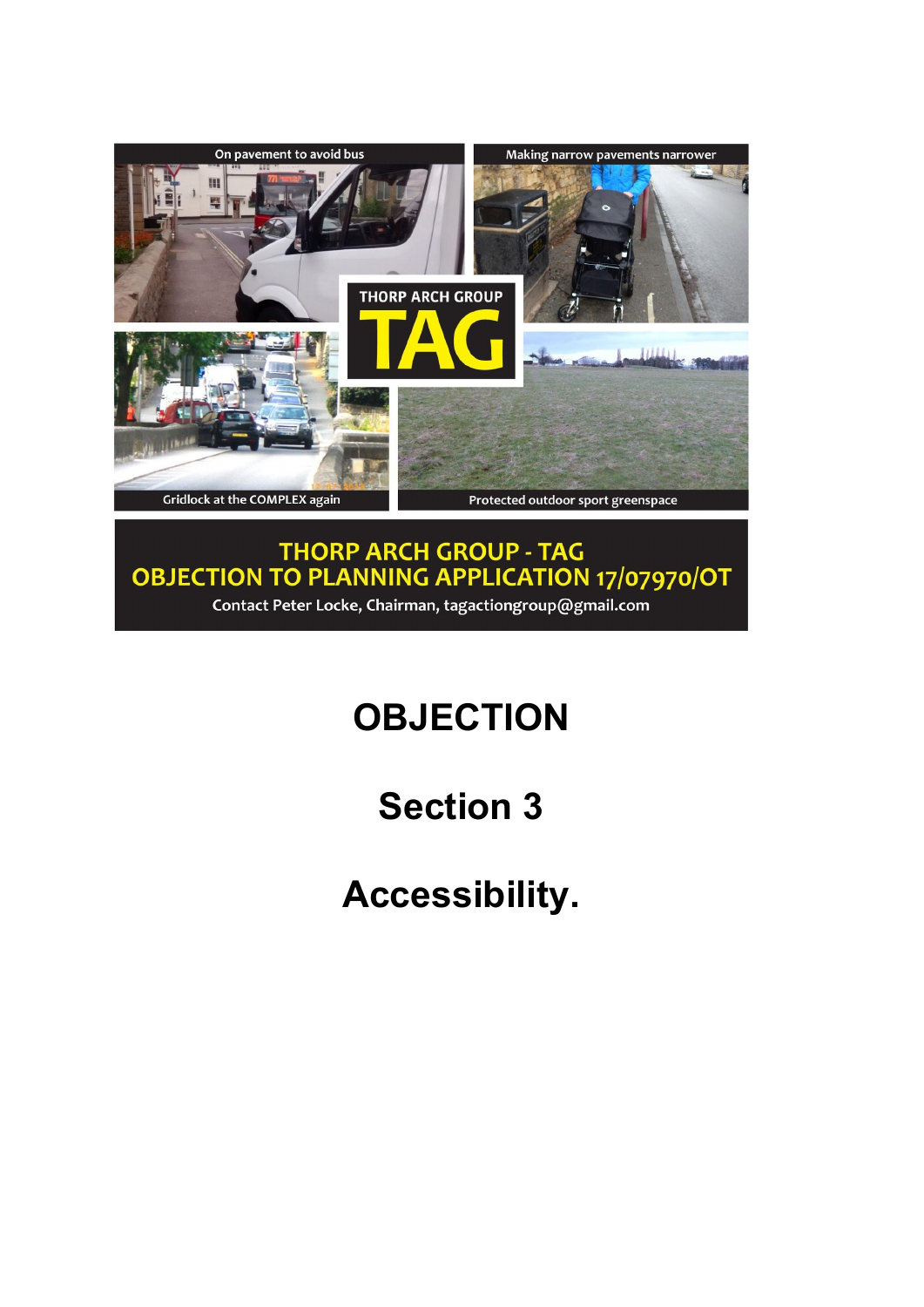

THORP ARCH GROUP - TAG<br>OBJECTION TO PLANNING APPLICATION 17/07970/OT Contact Peter Locke, Chairman, tagactiongroup@gmail.com

# **OBJECTION**

# **Section 3**

**Accessibility.**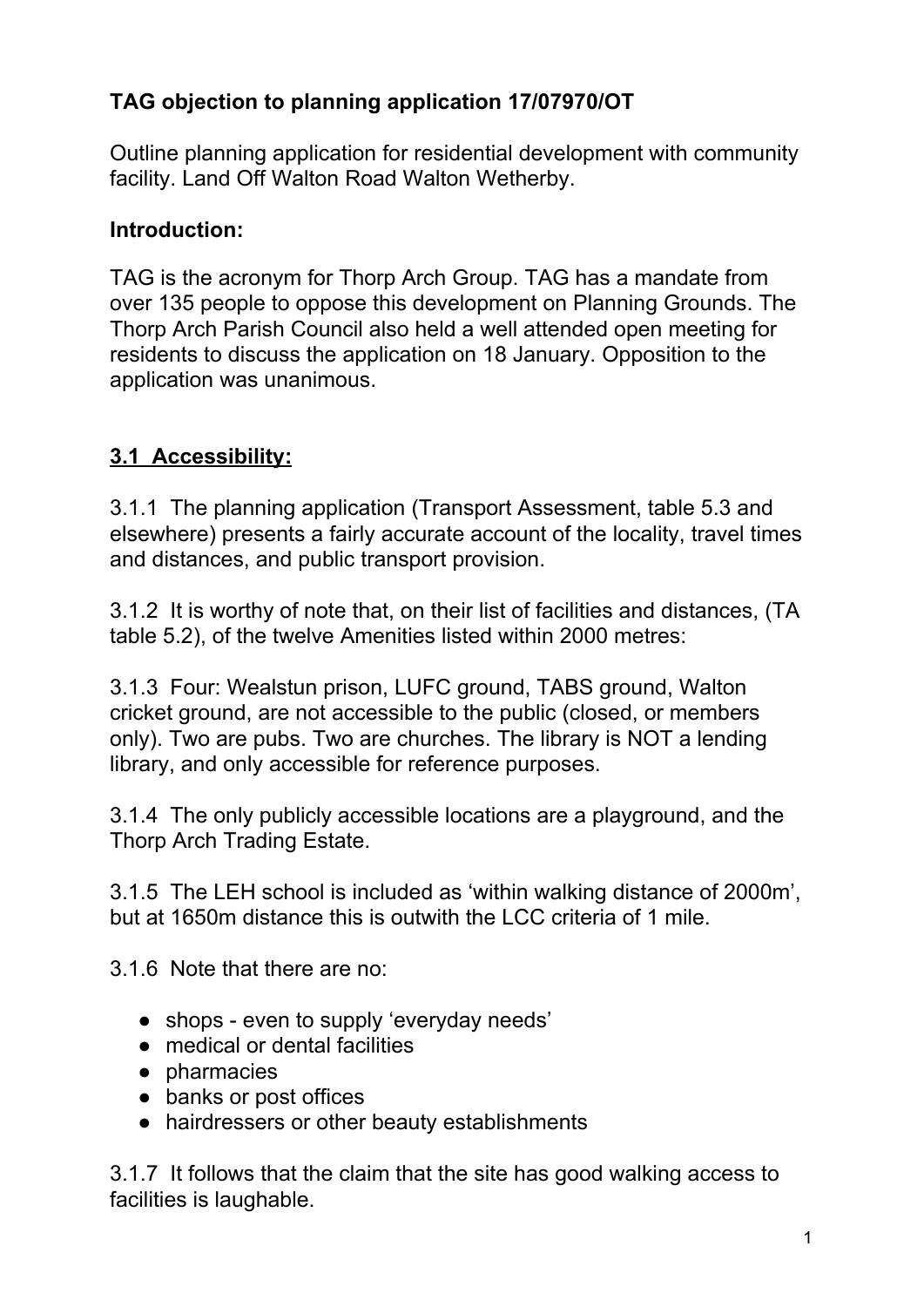### **TAG objection to planning application 17/07970/OT**

Outline planning application for residential development with community facility. Land Off Walton Road Walton Wetherby.

#### **Introduction:**

TAG is the acronym for Thorp Arch Group. TAG has a mandate from over 135 people to oppose this development on Planning Grounds. The Thorp Arch Parish Council also held a well attended open meeting for residents to discuss the application on 18 January. Opposition to the application was unanimous.

### **3.1 Accessibility:**

3.1.1 The planning application (Transport Assessment, table 5.3 and elsewhere) presents a fairly accurate account of the locality, travel times and distances, and public transport provision.

3.1.2 It is worthy of note that, on their list of facilities and distances, (TA table 5.2), of the twelve Amenities listed within 2000 metres:

3.1.3 Four: Wealstun prison, LUFC ground, TABS ground, Walton cricket ground, are not accessible to the public (closed, or members only). Two are pubs. Two are churches. The library is NOT a lending library, and only accessible for reference purposes.

3.1.4 The only publicly accessible locations are a playground, and the Thorp Arch Trading Estate.

3.1.5 The LEH school is included as 'within walking distance of 2000m', but at 1650m distance this is outwith the LCC criteria of 1 mile.

3.1.6 Note that there are no:

- shops even to supply 'everyday needs'
- medical or dental facilities
- pharmacies
- banks or post offices
- hairdressers or other beauty establishments

3.1.7 It follows that the claim that the site has good walking access to facilities is laughable.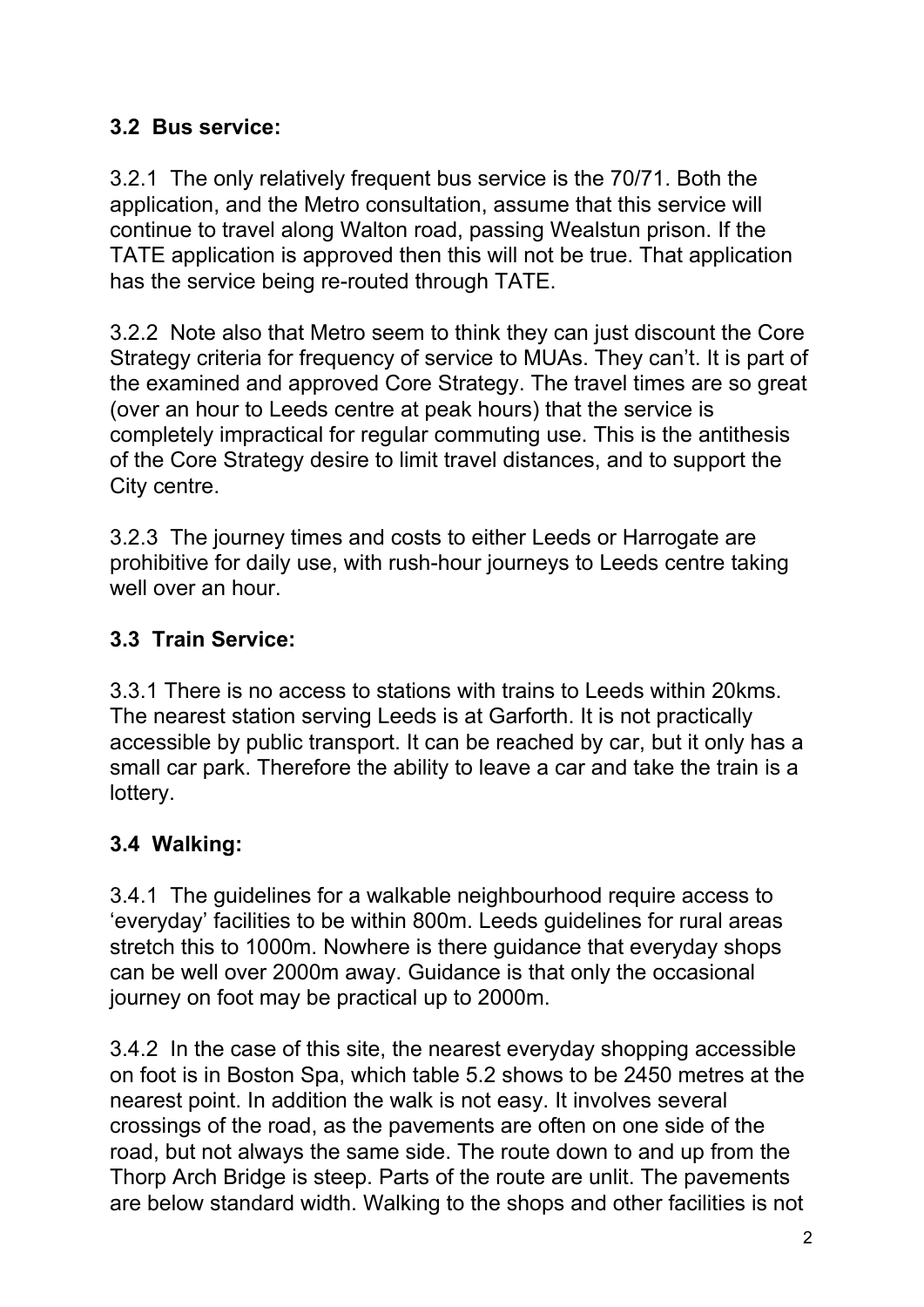#### **3.2 Bus service:**

3.2.1 The only relatively frequent bus service is the 70/71. Both the application, and the Metro consultation, assume that this service will continue to travel along Walton road, passing Wealstun prison. If the TATE application is approved then this will not be true. That application has the service being re-routed through TATE.

3.2.2 Note also that Metro seem to think they can just discount the Core Strategy criteria for frequency of service to MUAs. They can't. It is part of the examined and approved Core Strategy. The travel times are so great (over an hour to Leeds centre at peak hours) that the service is completely impractical for regular commuting use. This is the antithesis of the Core Strategy desire to limit travel distances, and to support the City centre.

3.2.3 The journey times and costs to either Leeds or Harrogate are prohibitive for daily use, with rush-hour journeys to Leeds centre taking well over an hour.

#### **3.3 Train Service:**

3.3.1 There is no access to stations with trains to Leeds within 20kms. The nearest station serving Leeds is at Garforth. It is not practically accessible by public transport. It can be reached by car, but it only has a small car park. Therefore the ability to leave a car and take the train is a lottery.

### **3.4 Walking:**

3.4.1 The guidelines for a walkable neighbourhood require access to 'everyday' facilities to be within 800m. Leeds guidelines for rural areas stretch this to 1000m. Nowhere is there guidance that everyday shops can be well over 2000m away. Guidance is that only the occasional journey on foot may be practical up to 2000m.

3.4.2 In the case of this site, the nearest everyday shopping accessible on foot is in Boston Spa, which table 5.2 shows to be 2450 metres at the nearest point. In addition the walk is not easy. It involves several crossings of the road, as the pavements are often on one side of the road, but not always the same side. The route down to and up from the Thorp Arch Bridge is steep. Parts of the route are unlit. The pavements are below standard width. Walking to the shops and other facilities is not